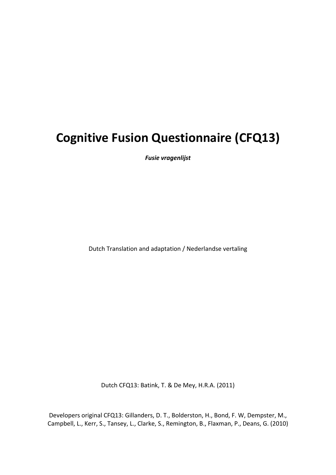# **Cognitive Fusion Questionnaire (CFQ13)**

*Fusie vragenlijst*

Dutch Translation and adaptation / Nederlandse vertaling

Dutch CFQ13: Batink, T. & De Mey, H.R.A. (2011)

Developers original CFQ13: Gillanders, D. T., Bolderston, H., Bond, F. W, Dempster, M., Campbell, L., Kerr, S., Tansey, L., Clarke, S., Remington, B., Flaxman, P., Deans, G. (2010)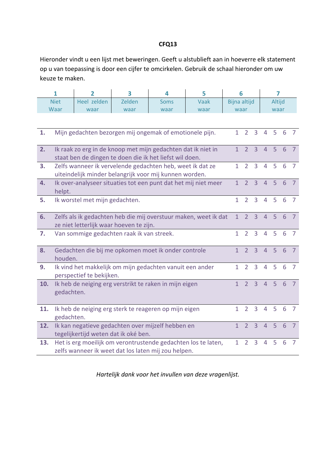#### **CFQ13**

Hieronder vindt u een lijst met beweringen. Geeft u alstublieft aan in hoeverre elk statement op u van toepassing is door een cijfer te omcirkelen. Gebruik de schaal hieronder om uw keuze te maken.

|     | $\mathbf{1}$                                                                                                                                                                                              | 2 | 3<br>4<br>5 |  |  |              | 6 |                |                | 7              |                |                |  |
|-----|-----------------------------------------------------------------------------------------------------------------------------------------------------------------------------------------------------------|---|-------------|--|--|--------------|---|----------------|----------------|----------------|----------------|----------------|--|
|     | <b>Niet</b><br>Heel zelden<br>Zelden<br>Vaak<br>Soms                                                                                                                                                      |   |             |  |  | Bijna altijd |   |                | Altijd         |                |                |                |  |
|     | Waar<br>waar<br>waar<br>waar<br>waar                                                                                                                                                                      |   |             |  |  |              |   |                | waar           |                |                |                |  |
|     |                                                                                                                                                                                                           |   |             |  |  |              |   |                |                |                |                |                |  |
| 1.  | Mijn gedachten bezorgen mij ongemak of emotionele pijn.<br>$\overline{2}$<br>$\mathbf{1}$<br>3<br>$\overline{4}$                                                                                          |   |             |  |  |              |   |                |                |                | 6              | $\overline{7}$ |  |
| 2.  | $\overline{3}$<br>$\overline{1}$<br>$\overline{2}$<br>$\overline{4}$<br>5<br>Ik raak zo erg in de knoop met mijn gedachten dat ik niet in<br>6<br>staat ben de dingen te doen die ik het liefst wil doen. |   |             |  |  |              |   |                |                |                | $\overline{7}$ |                |  |
| 3.  | Zelfs wanneer ik vervelende gedachten heb, weet ik dat ze<br>$\mathbf{1}$<br>$\overline{2}$<br>$\overline{3}$<br>5<br>6<br>$\overline{4}$<br>uiteindelijk minder belangrijk voor mij kunnen worden.       |   |             |  |  |              |   |                |                |                | $\overline{7}$ |                |  |
| 4.  | Ik over-analyseer situaties tot een punt dat het mij niet meer<br>5<br>$6\phantom{1}$<br>$\mathbf{1}$<br>$\overline{2}$<br>$\overline{3}$<br>4<br>helpt.                                                  |   |             |  |  |              |   |                |                | $\overline{7}$ |                |                |  |
| 5.  | $\overline{1}$<br>$\overline{3}$<br>$\overline{4}$<br>5<br>6<br>Ik worstel met mijn gedachten.<br>$\overline{2}$                                                                                          |   |             |  |  |              |   |                |                | $\overline{7}$ |                |                |  |
| 6.  | Zelfs als ik gedachten heb die mij overstuur maken, weet ik dat<br>$\overline{1}$<br>$\overline{2}$<br>$\overline{3}$<br>5<br>$\overline{4}$<br>6<br>ze niet letterlijk waar hoeven te zijn.              |   |             |  |  |              |   |                |                | $\overline{7}$ |                |                |  |
| 7.  | Van sommige gedachten raak ik van streek.<br>$\mathbf{1}$<br>$\overline{2}$<br>$\overline{3}$<br>$\overline{4}$<br>5<br>6<br>$\overline{7}$                                                               |   |             |  |  |              |   |                |                |                |                |                |  |
| 8.  | $\overline{3}$<br>$\overline{2}$<br>5<br>6<br>Gedachten die bij me opkomen moet ik onder controle<br>$\mathbf{1}$<br>$\overline{4}$<br>houden.                                                            |   |             |  |  |              |   |                |                | $\overline{7}$ |                |                |  |
| 9.  | Ik vind het makkelijk om mijn gedachten vanuit een ander<br>$\overline{2}$<br>$\overline{3}$<br>5<br>$\mathbf{1}$<br>$\overline{4}$<br>perspectief te bekijken.                                           |   |             |  |  |              |   |                | 6              | $\overline{7}$ |                |                |  |
| 10. | $\overline{2}$<br>$\overline{3}$<br>$\overline{1}$<br>$\overline{4}$<br>5<br>Ik heb de neiging erg verstrikt te raken in mijn eigen<br>6<br>gedachten.                                                    |   |             |  |  |              |   |                | $\overline{7}$ |                |                |                |  |
| 11. | Ik heb de neiging erg sterk te reageren op mijn eigen<br>gedachten.                                                                                                                                       |   |             |  |  |              |   |                | $\overline{4}$ | 5              | 6              | $\overline{7}$ |  |
| 12. | Ik kan negatieve gedachten over mijzelf hebben en<br>$\mathbf{1}$<br>tegelijkertijd weten dat ik oké ben.                                                                                                 |   |             |  |  |              |   | $\overline{3}$ | $\overline{4}$ | 5              | 6              | $\overline{7}$ |  |
| 13. | $\overline{3}$<br>Het is erg moeilijk om verontrustende gedachten los te laten,<br>1<br>$\overline{2}$<br>$\overline{4}$<br>zelfs wanneer ik weet dat los laten mij zou helpen.                           |   |             |  |  |              |   | 5              | 6              | $\overline{7}$ |                |                |  |

*Hartelijk dank voor het invullen van deze vragenlijst.*